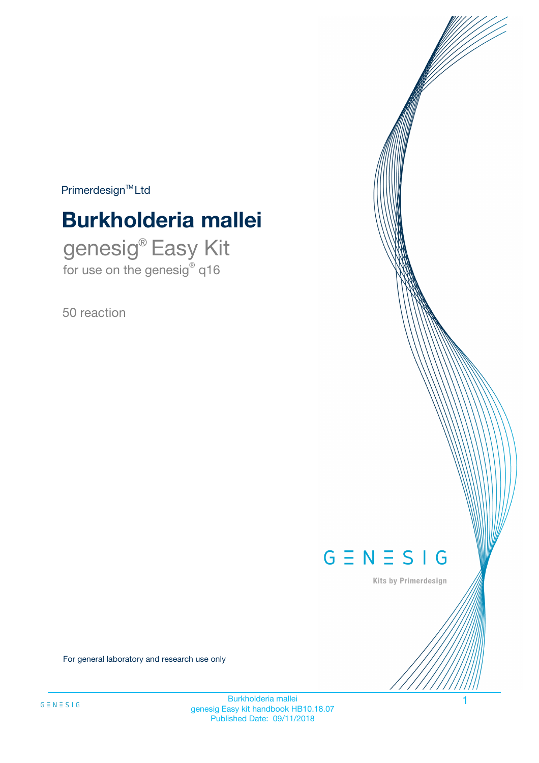$Primerdesign^{\text{TM}}Ltd$ 

# **Burkholderia mallei**

genesig® Easy Kit for use on the genesig® q16

50 reaction



Kits by Primerdesign

For general laboratory and research use only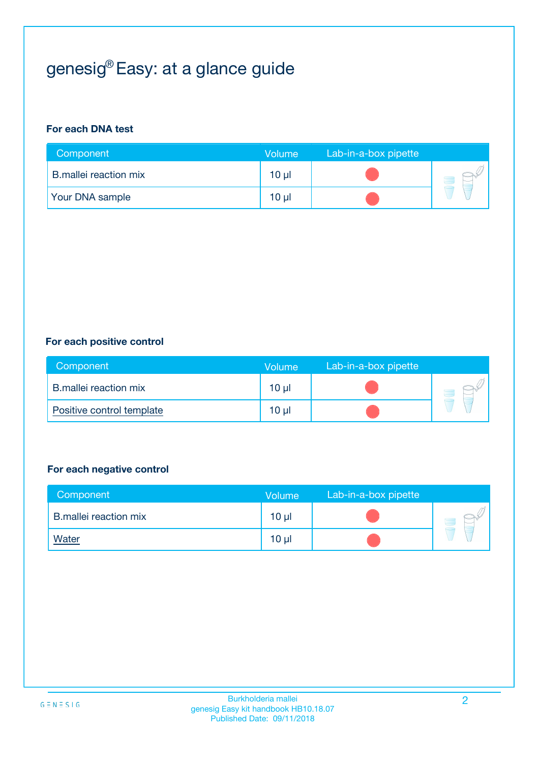# genesig® Easy: at a glance guide

#### **For each DNA test**

| Component              | <b>Volume</b> | Lab-in-a-box pipette |  |
|------------------------|---------------|----------------------|--|
| B.mallei reaction mix  | 10 µl         |                      |  |
| <b>Your DNA sample</b> | $10 \mu$      |                      |  |

#### **For each positive control**

| Component                 | Volume          | Lab-in-a-box pipette |  |
|---------------------------|-----------------|----------------------|--|
| B.mallei reaction mix     | 10 <sub>µ</sub> |                      |  |
| Positive control template | 10 <sub>µ</sub> |                      |  |

#### **For each negative control**

| Component                    | Volume          | Lab-in-a-box pipette |  |
|------------------------------|-----------------|----------------------|--|
| <b>B.mallei reaction mix</b> | 10 <sub>µ</sub> |                      |  |
| <b>Water</b>                 | 10 <sub>µ</sub> |                      |  |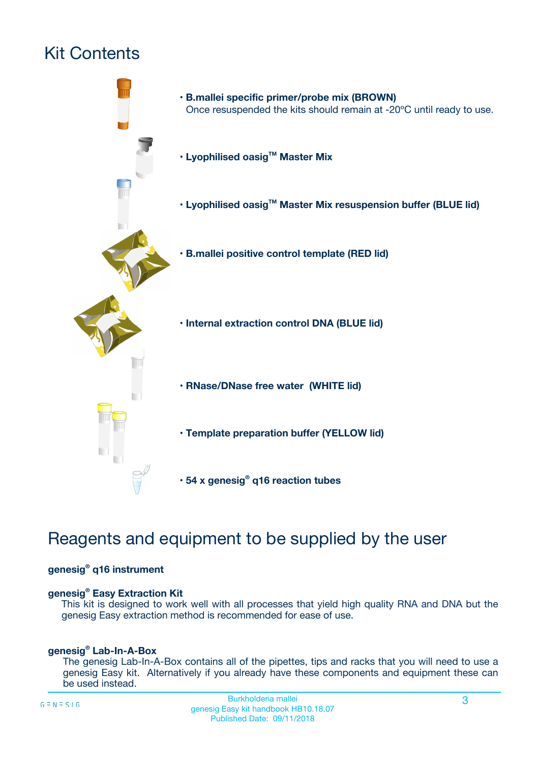# Kit Contents



# Reagents and equipment to be supplied by the user

#### **genesig® q16 instrument**

#### **genesig® Easy Extraction Kit**

This kit is designed to work well with all processes that yield high quality RNA and DNA but the genesig Easy extraction method is recommended for ease of use.

#### **genesig® Lab-In-A-Box**

The genesig Lab-In-A-Box contains all of the pipettes, tips and racks that you will need to use a genesig Easy kit. Alternatively if you already have these components and equipment these can be used instead.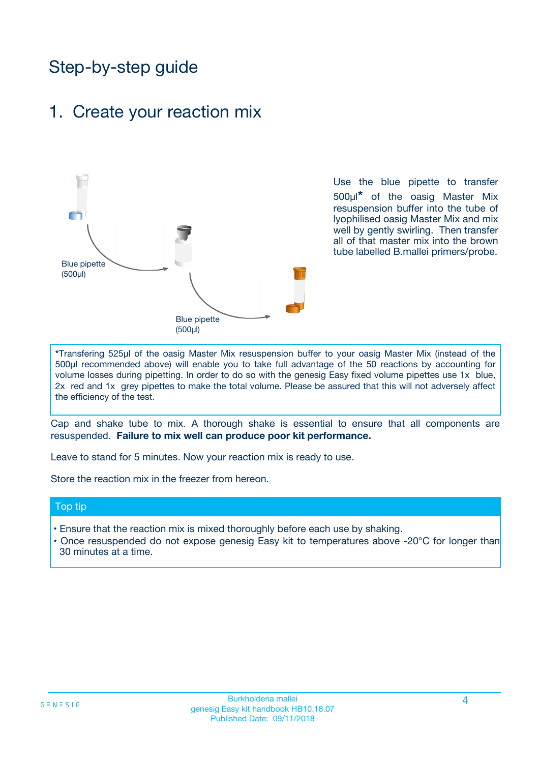# Step-by-step guide

## 1. Create your reaction mix



Use the blue pipette to transfer 500µl**\*** of the oasig Master Mix resuspension buffer into the tube of lyophilised oasig Master Mix and mix well by gently swirling. Then transfer all of that master mix into the brown tube labelled B.mallei primers/probe.

**\***Transfering 525µl of the oasig Master Mix resuspension buffer to your oasig Master Mix (instead of the 500µl recommended above) will enable you to take full advantage of the 50 reactions by accounting for volume losses during pipetting. In order to do so with the genesig Easy fixed volume pipettes use 1x blue, 2x red and 1x grey pipettes to make the total volume. Please be assured that this will not adversely affect the efficiency of the test.

Cap and shake tube to mix. A thorough shake is essential to ensure that all components are resuspended. **Failure to mix well can produce poor kit performance.**

Leave to stand for 5 minutes. Now your reaction mix is ready to use.

Store the reaction mix in the freezer from hereon.

#### Top tip

- Ensure that the reaction mix is mixed thoroughly before each use by shaking.
- **•** Once resuspended do not expose genesig Easy kit to temperatures above -20°C for longer than 30 minutes at a time.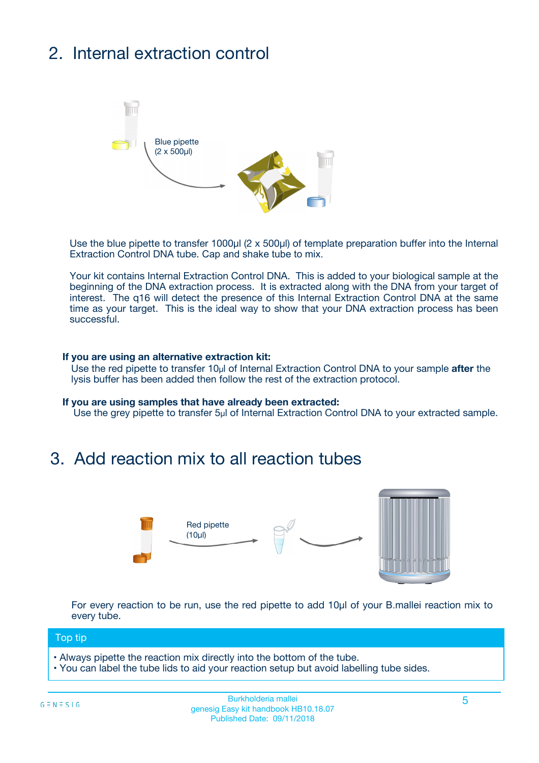# 2. Internal extraction control



Use the blue pipette to transfer 1000µl (2 x 500µl) of template preparation buffer into the Internal Extraction Control DNA tube. Cap and shake tube to mix.

Your kit contains Internal Extraction Control DNA. This is added to your biological sample at the beginning of the DNA extraction process. It is extracted along with the DNA from your target of interest. The q16 will detect the presence of this Internal Extraction Control DNA at the same time as your target. This is the ideal way to show that your DNA extraction process has been **successful.** 

#### **If you are using an alternative extraction kit:**

Use the red pipette to transfer 10µl of Internal Extraction Control DNA to your sample **after** the lysis buffer has been added then follow the rest of the extraction protocol.

#### **If you are using samples that have already been extracted:**

Use the grey pipette to transfer 5µl of Internal Extraction Control DNA to your extracted sample.

## 3. Add reaction mix to all reaction tubes



For every reaction to be run, use the red pipette to add 10µl of your B.mallei reaction mix to every tube.

#### Top tip

- Always pipette the reaction mix directly into the bottom of the tube.
- You can label the tube lids to aid your reaction setup but avoid labelling tube sides.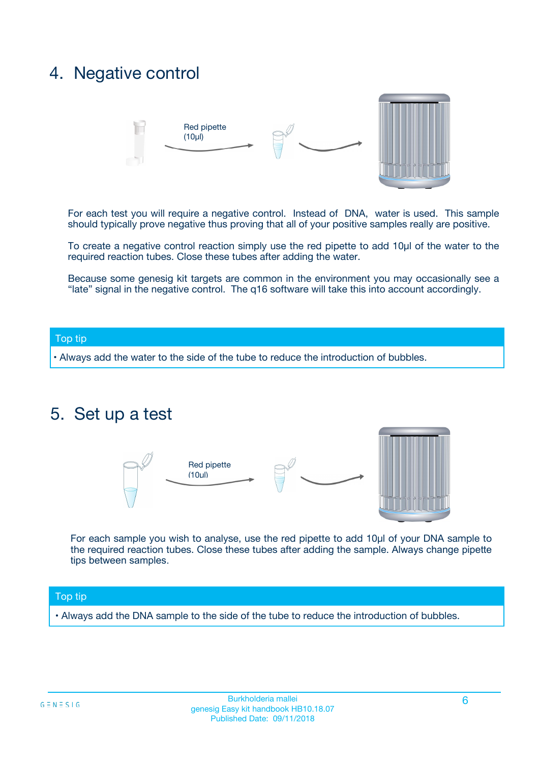# 4. Negative control



For each test you will require a negative control. Instead of DNA, water is used. This sample should typically prove negative thus proving that all of your positive samples really are positive.

To create a negative control reaction simply use the red pipette to add 10µl of the water to the required reaction tubes. Close these tubes after adding the water.

Because some genesig kit targets are common in the environment you may occasionally see a "late" signal in the negative control. The q16 software will take this into account accordingly.

#### Top tip

**•** Always add the water to the side of the tube to reduce the introduction of bubbles.

### 5. Set up a test



For each sample you wish to analyse, use the red pipette to add 10µl of your DNA sample to the required reaction tubes. Close these tubes after adding the sample. Always change pipette tips between samples.

#### Top tip

**•** Always add the DNA sample to the side of the tube to reduce the introduction of bubbles.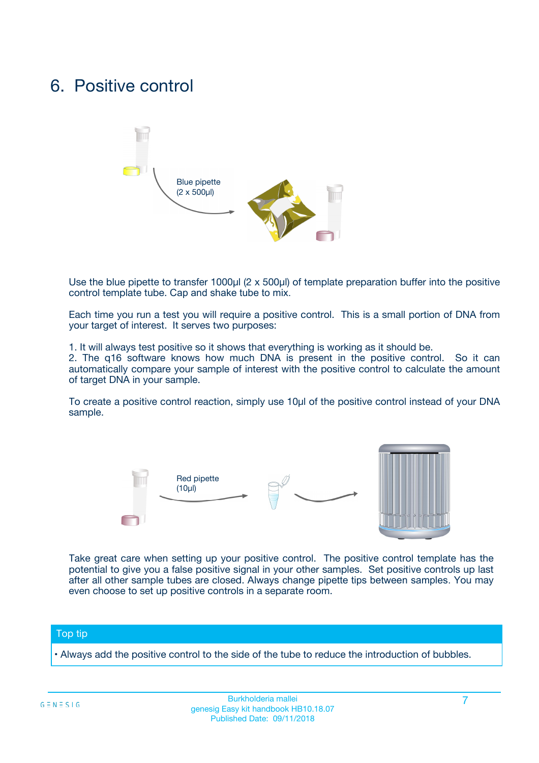# 6. Positive control



Use the blue pipette to transfer 1000µl (2 x 500µl) of template preparation buffer into the positive control template tube. Cap and shake tube to mix.

Each time you run a test you will require a positive control. This is a small portion of DNA from your target of interest. It serves two purposes:

1. It will always test positive so it shows that everything is working as it should be.

2. The q16 software knows how much DNA is present in the positive control. So it can automatically compare your sample of interest with the positive control to calculate the amount of target DNA in your sample.

To create a positive control reaction, simply use 10µl of the positive control instead of your DNA sample.



Take great care when setting up your positive control. The positive control template has the potential to give you a false positive signal in your other samples. Set positive controls up last after all other sample tubes are closed. Always change pipette tips between samples. You may even choose to set up positive controls in a separate room.

#### Top tip

**•** Always add the positive control to the side of the tube to reduce the introduction of bubbles.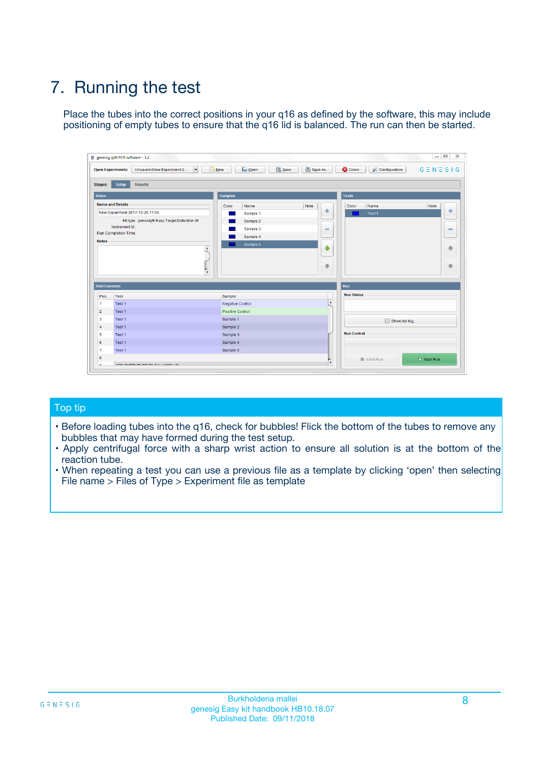# 7. Running the test

Place the tubes into the correct positions in your q16 as defined by the software, this may include positioning of empty tubes to ensure that the q16 lid is balanced. The run can then be started.

| qenesig q16 PCR software - 1.2                                               |                                   | $\Box$                                                                                          |
|------------------------------------------------------------------------------|-----------------------------------|-------------------------------------------------------------------------------------------------|
| $\vert \cdot \vert$<br>Unsaved (New Experiment 2<br><b>Open Experiments:</b> | <b>D</b> Open<br>R <sub>New</sub> | Save<br>Save As<br><b>C</b> Close<br><b>&amp; Configuration</b><br>$G \equiv N \equiv S \mid G$ |
| <b>Setup</b><br><b>Results</b><br>Stages:                                    |                                   |                                                                                                 |
| <b>Notes</b>                                                                 | <b>Samples</b>                    | <b>Tests</b>                                                                                    |
| <b>Name and Details</b>                                                      | Name<br>Color                     | Note<br>Color<br>Note<br>Name                                                                   |
| New Experiment 2017-10-26 11:06                                              | Sample 1                          | ÷<br>条<br>Test 1                                                                                |
| Kit type: genesig® Easy Target Detection kit                                 | Sample 2                          |                                                                                                 |
| Instrument Id.:                                                              | Sample 3                          | $\qquad \qquad \blacksquare$<br>$\qquad \qquad \blacksquare$                                    |
| <b>Run Completion Time:</b>                                                  | Sample 4                          |                                                                                                 |
| <b>Notes</b><br><b>A</b><br>$\overline{\mathbf v}$                           | Sample 5                          | ♦<br>4<br>÷<br>₩                                                                                |
| <b>Well Contents</b>                                                         |                                   | <b>Run</b>                                                                                      |
| Pos.<br>Test                                                                 | Sample                            | <b>Run Status</b>                                                                               |
| Test 1<br>$\blacktriangleleft$                                               | Negative Control                  | $\blacktriangle$                                                                                |
| $\overline{2}$<br>Test 1                                                     | <b>Positive Control</b>           |                                                                                                 |
| $\overline{\mathbf{3}}$<br>Test 1                                            | Sample 1                          | Show full log                                                                                   |
| Test 1<br>4                                                                  | Sample 2                          |                                                                                                 |
| 5<br>Test 1                                                                  | Sample 3                          | <b>Run Control</b>                                                                              |
| Test 1<br>6                                                                  | Sample 4                          |                                                                                                 |
| $\overline{7}$<br>Test 1                                                     | Sample 5                          |                                                                                                 |
| 8                                                                            |                                   | $\triangleright$ Start Run<br>Abort Run                                                         |
| <b>JOD FURTY TUDE TO BUILDED IN</b>                                          |                                   | $\overline{\mathbf{v}}$                                                                         |

#### Top tip

- Before loading tubes into the q16, check for bubbles! Flick the bottom of the tubes to remove any bubbles that may have formed during the test setup.
- Apply centrifugal force with a sharp wrist action to ensure all solution is at the bottom of the reaction tube.
- When repeating a test you can use a previous file as a template by clicking 'open' then selecting File name > Files of Type > Experiment file as template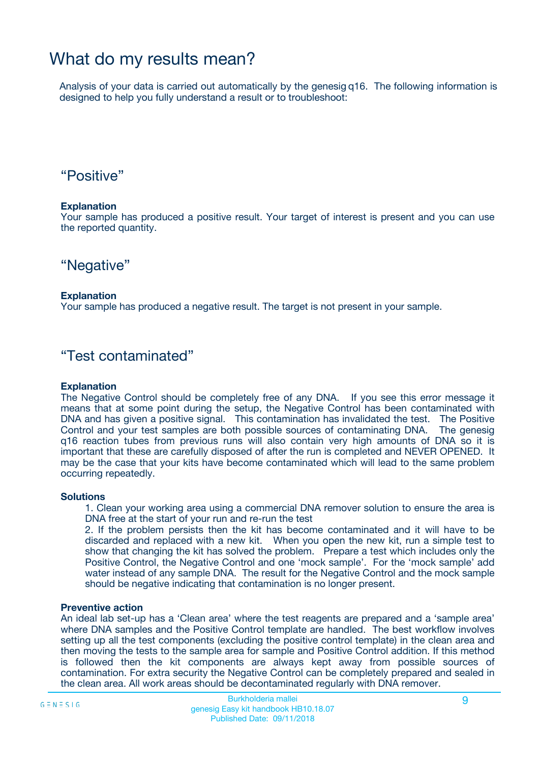# What do my results mean?

Analysis of your data is carried out automatically by the genesig q16. The following information is designed to help you fully understand a result or to troubleshoot:

### "Positive"

#### **Explanation**

Your sample has produced a positive result. Your target of interest is present and you can use the reported quantity.

"Negative"

#### **Explanation**

Your sample has produced a negative result. The target is not present in your sample.

### "Test contaminated"

#### **Explanation**

The Negative Control should be completely free of any DNA. If you see this error message it means that at some point during the setup, the Negative Control has been contaminated with DNA and has given a positive signal. This contamination has invalidated the test. The Positive Control and your test samples are both possible sources of contaminating DNA. The genesig q16 reaction tubes from previous runs will also contain very high amounts of DNA so it is important that these are carefully disposed of after the run is completed and NEVER OPENED. It may be the case that your kits have become contaminated which will lead to the same problem occurring repeatedly.

#### **Solutions**

1. Clean your working area using a commercial DNA remover solution to ensure the area is DNA free at the start of your run and re-run the test

2. If the problem persists then the kit has become contaminated and it will have to be discarded and replaced with a new kit. When you open the new kit, run a simple test to show that changing the kit has solved the problem. Prepare a test which includes only the Positive Control, the Negative Control and one 'mock sample'. For the 'mock sample' add water instead of any sample DNA. The result for the Negative Control and the mock sample should be negative indicating that contamination is no longer present.

#### **Preventive action**

An ideal lab set-up has a 'Clean area' where the test reagents are prepared and a 'sample area' where DNA samples and the Positive Control template are handled. The best workflow involves setting up all the test components (excluding the positive control template) in the clean area and then moving the tests to the sample area for sample and Positive Control addition. If this method is followed then the kit components are always kept away from possible sources of contamination. For extra security the Negative Control can be completely prepared and sealed in the clean area. All work areas should be decontaminated regularly with DNA remover.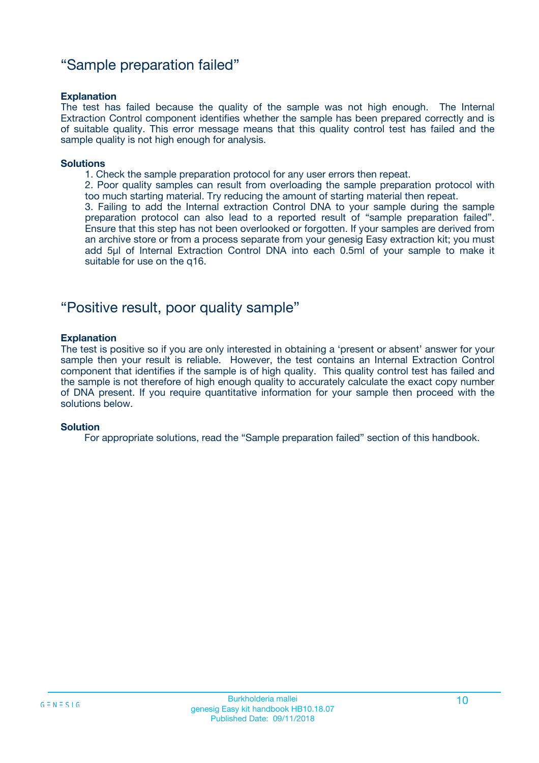### "Sample preparation failed"

#### **Explanation**

The test has failed because the quality of the sample was not high enough. The Internal Extraction Control component identifies whether the sample has been prepared correctly and is of suitable quality. This error message means that this quality control test has failed and the sample quality is not high enough for analysis.

#### **Solutions**

- 1. Check the sample preparation protocol for any user errors then repeat.
- 2. Poor quality samples can result from overloading the sample preparation protocol with too much starting material. Try reducing the amount of starting material then repeat.

3. Failing to add the Internal extraction Control DNA to your sample during the sample preparation protocol can also lead to a reported result of "sample preparation failed". Ensure that this step has not been overlooked or forgotten. If your samples are derived from an archive store or from a process separate from your genesig Easy extraction kit; you must add 5µl of Internal Extraction Control DNA into each 0.5ml of your sample to make it suitable for use on the q16.

### "Positive result, poor quality sample"

#### **Explanation**

The test is positive so if you are only interested in obtaining a 'present or absent' answer for your sample then your result is reliable. However, the test contains an Internal Extraction Control component that identifies if the sample is of high quality. This quality control test has failed and the sample is not therefore of high enough quality to accurately calculate the exact copy number of DNA present. If you require quantitative information for your sample then proceed with the solutions below.

#### **Solution**

For appropriate solutions, read the "Sample preparation failed" section of this handbook.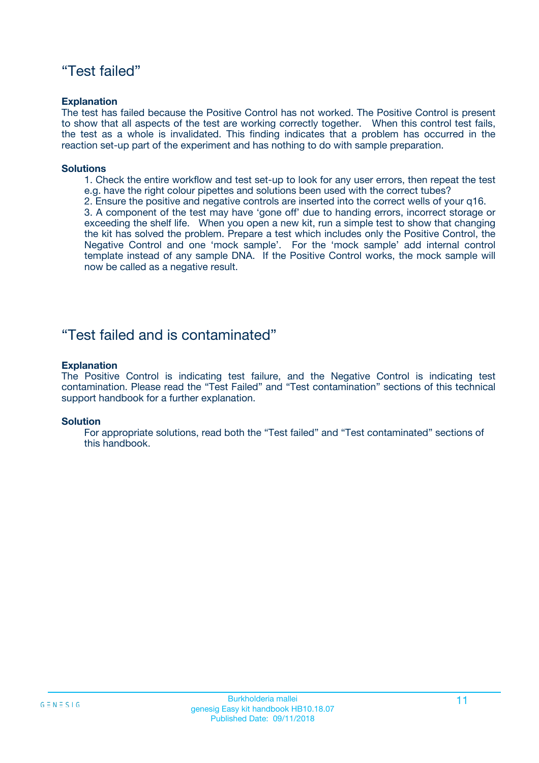### "Test failed"

#### **Explanation**

The test has failed because the Positive Control has not worked. The Positive Control is present to show that all aspects of the test are working correctly together. When this control test fails, the test as a whole is invalidated. This finding indicates that a problem has occurred in the reaction set-up part of the experiment and has nothing to do with sample preparation.

#### **Solutions**

- 1. Check the entire workflow and test set-up to look for any user errors, then repeat the test e.g. have the right colour pipettes and solutions been used with the correct tubes?
- 2. Ensure the positive and negative controls are inserted into the correct wells of your q16.

3. A component of the test may have 'gone off' due to handing errors, incorrect storage or exceeding the shelf life. When you open a new kit, run a simple test to show that changing the kit has solved the problem. Prepare a test which includes only the Positive Control, the Negative Control and one 'mock sample'. For the 'mock sample' add internal control template instead of any sample DNA. If the Positive Control works, the mock sample will now be called as a negative result.

### "Test failed and is contaminated"

#### **Explanation**

The Positive Control is indicating test failure, and the Negative Control is indicating test contamination. Please read the "Test Failed" and "Test contamination" sections of this technical support handbook for a further explanation.

#### **Solution**

For appropriate solutions, read both the "Test failed" and "Test contaminated" sections of this handbook.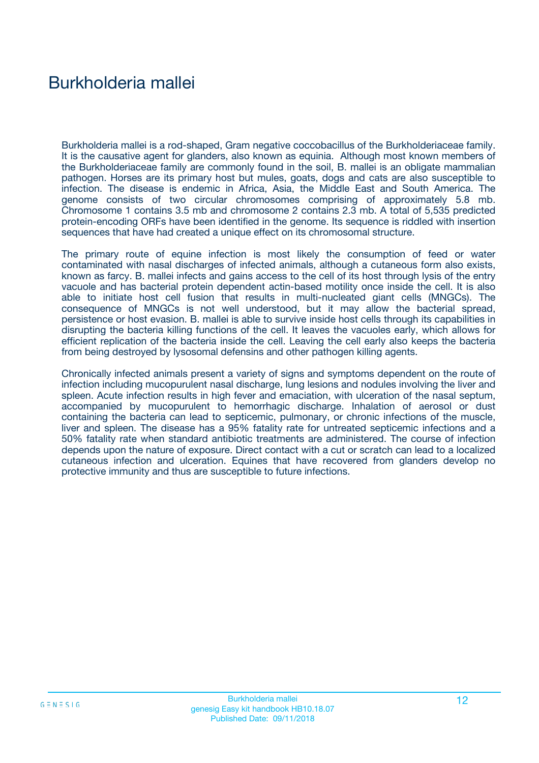# Burkholderia mallei

Burkholderia mallei is a rod-shaped, Gram negative coccobacillus of the Burkholderiaceae family. It is the causative agent for glanders, also known as equinia. Although most known members of the Burkholderiaceae family are commonly found in the soil, B. mallei is an obligate mammalian pathogen. Horses are its primary host but mules, goats, dogs and cats are also susceptible to infection. The disease is endemic in Africa, Asia, the Middle East and South America. The genome consists of two circular chromosomes comprising of approximately 5.8 mb. Chromosome 1 contains 3.5 mb and chromosome 2 contains 2.3 mb. A total of 5,535 predicted protein-encoding ORFs have been identified in the genome. Its sequence is riddled with insertion sequences that have had created a unique effect on its chromosomal structure.

The primary route of equine infection is most likely the consumption of feed or water contaminated with nasal discharges of infected animals, although a cutaneous form also exists, known as farcy. B. mallei infects and gains access to the cell of its host through lysis of the entry vacuole and has bacterial protein dependent actin-based motility once inside the cell. It is also able to initiate host cell fusion that results in multi-nucleated giant cells (MNGCs). The consequence of MNGCs is not well understood, but it may allow the bacterial spread, persistence or host evasion. B. mallei is able to survive inside host cells through its capabilities in disrupting the bacteria killing functions of the cell. It leaves the vacuoles early, which allows for efficient replication of the bacteria inside the cell. Leaving the cell early also keeps the bacteria from being destroyed by lysosomal defensins and other pathogen killing agents.

Chronically infected animals present a variety of signs and symptoms dependent on the route of infection including mucopurulent nasal discharge, lung lesions and nodules involving the liver and spleen. Acute infection results in high fever and emaciation, with ulceration of the nasal septum, accompanied by mucopurulent to hemorrhagic discharge. Inhalation of aerosol or dust containing the bacteria can lead to septicemic, pulmonary, or chronic infections of the muscle, liver and spleen. The disease has a 95% fatality rate for untreated septicemic infections and a 50% fatality rate when standard antibiotic treatments are administered. The course of infection depends upon the nature of exposure. Direct contact with a cut or scratch can lead to a localized cutaneous infection and ulceration. Equines that have recovered from glanders develop no protective immunity and thus are susceptible to future infections.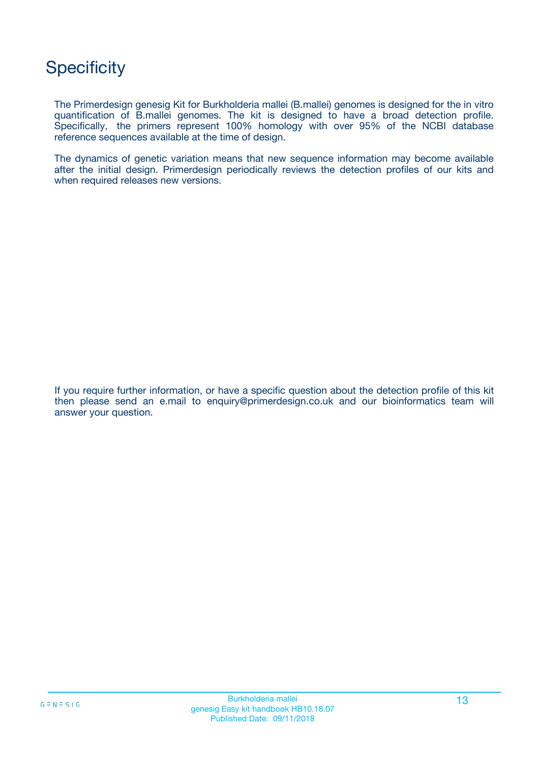# **Specificity**

The Primerdesign genesig Kit for Burkholderia mallei (B.mallei) genomes is designed for the in vitro quantification of B.mallei genomes. The kit is designed to have a broad detection profile. Specifically, the primers represent 100% homology with over 95% of the NCBI database reference sequences available at the time of design.

The dynamics of genetic variation means that new sequence information may become available after the initial design. Primerdesign periodically reviews the detection profiles of our kits and when required releases new versions.

If you require further information, or have a specific question about the detection profile of this kit then please send an e.mail to enquiry@primerdesign.co.uk and our bioinformatics team will answer your question.